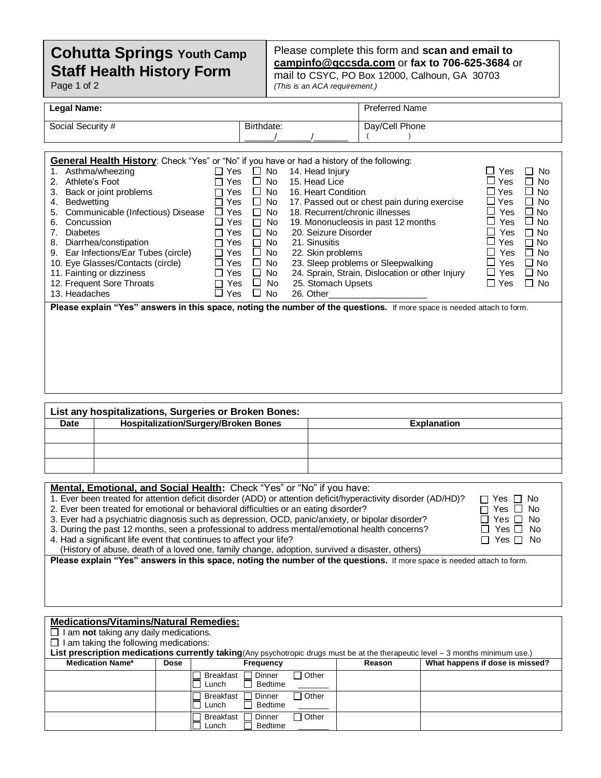## **Staff Health History Form Cohutta Springs Youth Camp**

Page 1 of 2

## Please complete this form and **scan and email to [campinfo@gccsda.com](mailto:campinfo@gccsda.com)** or **fax to 706-625-3684** or

mail to CSYC, PO Box 12000, Calhoun, GA 30703 *(This is an ACA requirement.)*

| Legal Name:                                                                                       |                                      | <b>Preferred Name</b> |                           |
|---------------------------------------------------------------------------------------------------|--------------------------------------|-----------------------|---------------------------|
| Social Security #                                                                                 | Birthdate:                           | Day/Cell Phone        |                           |
|                                                                                                   |                                      |                       |                           |
|                                                                                                   |                                      |                       |                           |
| <b>General Health History:</b> Check "Yes" or "No" if you have or had a history of the following: |                                      |                       |                           |
| 1. Asthma/wheezing                                                                                | $\Box$ Yes $\Box$ No 14. Head Injury |                       | $\sqcup$ Yes<br>$\Box$ No |
| 2. Athlete's Foot                                                                                 | Yes $\Box$ No 15. Head Lice          |                       | <sup>1</sup> Yes<br>ר No  |

|                                      | .             |           |                                                                                                                         |                      |           |
|--------------------------------------|---------------|-----------|-------------------------------------------------------------------------------------------------------------------------|----------------------|-----------|
| Back or joint problems<br>3.         | Yes           | $\Box$ No | 16. Heart Condition                                                                                                     | □ Yes                | $\Box$ No |
| Bedwetting<br>4.                     | Yes.          | $\Box$ No | 17. Passed out or chest pain during exercise                                                                            | ⊔ Yes                | $\Box$ No |
| 5. Communicable (Infectious) Disease | Yes           | $\Box$ No | 18. Recurrent/chronic illnesses                                                                                         | Yes                  | $\Box$ No |
| Concussion<br>6.                     | Yes           | ∩ No      | 19. Mononucleosis in past 12 months                                                                                     | $\Box$<br>Yes        | $\Box$ No |
| <b>Diabetes</b>                      | Yes           | $\Box$ No | 20. Seizure Disorder                                                                                                    | Yes                  | $\Box$ No |
| Diarrhea/constipation<br>8.          | Yes           | ∩ No      | 21. Sinusitis                                                                                                           | ⊔ Yes                | ∩ No      |
| 9. Ear Infections/Ear Tubes (circle) | Yes<br>$\Box$ | $\Box$ No | 22. Skin problems                                                                                                       | <b>Yes</b><br>$\Box$ | $\Box$ No |
| 10. Eye Glasses/Contacts (circle)    | ∐ Yes         | $\Box$ No | 23. Sleep problems or Sleepwalking                                                                                      | Yes<br>ப             | $\Box$ No |
| 11. Fainting or dizziness            | Yes           | $\Box$ No | 24. Sprain, Strain, Dislocation or other Injury                                                                         | பு<br>Yes            | $\Box$ No |
| 12. Frequent Sore Throats            | Yes           | $\Box$ No | 25. Stomach Upsets                                                                                                      | □ Yes                | $\Box$ No |
| 13. Headaches                        | Yes           | ∐ No      | 26. Other                                                                                                               |                      |           |
|                                      |               |           | Please explain "Yes" answers in this space, noting the number of the questions. If more space is needed attach to form. |                      |           |
|                                      |               |           |                                                                                                                         |                      |           |

|      | List any hospitalizations, Surgeries or Broken Bones: |                    |
|------|-------------------------------------------------------|--------------------|
| Date | <b>Hospitalization/Surgery/Broken Bones</b>           | <b>Explanation</b> |
|      |                                                       |                    |
|      |                                                       |                    |
|      |                                                       |                    |
|      |                                                       |                    |

| Mental, Emotional, and Social Health: Check "Yes" or "No" if you have:                                         |                       |
|----------------------------------------------------------------------------------------------------------------|-----------------------|
| 1. Ever been treated for attention deficit disorder (ADD) or attention deficit/hyperactivity disorder (AD/HD)? | $\Box$ Yes $\Box$ No  |
| 2. Ever been treated for emotional or behavioral difficulties or an eating disorder?                           | $\Box$ Yes $\Box$ No  |
| 3. Ever had a psychiatric diagnosis such as depression, OCD, panic/anxiety, or bipolar disorder?               | $\Box$ Yes $\Box$ No  |
| $\mid$ 3. During the past 12 months $\mid$ seep a professional to address mental/emotional health concerns?    | $\Box$ Yes $\Box$ No. |

. During the past 12 months, seen a professional to address mental/emotional health concerns? U Yes U No<br>A Had a significant life event that continues to affect your life? Yes D\_ No

4. Had a significant life event that continues to affect your life?

(History of abuse, death of a loved one, family change, adoption, survived a disaster, others)

**Please explain "Yes" answers in this space, noting the number of the questions.** If more space is needed attach to form.

| <b>Medications/Vitamins/Natural Remedies:</b>        |             |                                                                                                                                  |        |                                 |
|------------------------------------------------------|-------------|----------------------------------------------------------------------------------------------------------------------------------|--------|---------------------------------|
| $\Box$ I am <b>not</b> taking any daily medications. |             |                                                                                                                                  |        |                                 |
| $\Box$ I am taking the following medications:        |             |                                                                                                                                  |        |                                 |
|                                                      |             | List prescription medications currently taking (Any psychotropic drugs must be at the therapeutic level - 3 months minimum use.) |        |                                 |
| <b>Medication Name*</b>                              | <b>Dose</b> | <b>Frequency</b>                                                                                                                 | Reason | What happens if dose is missed? |
|                                                      |             | $\Box$ Other<br>Dinner<br>Breakfast<br><b>Bedtime</b><br>Lunch                                                                   |        |                                 |
|                                                      |             | $\Box$ Other<br>Breakfast<br>□ Dinner<br>Bedtime<br>Lunch                                                                        |        |                                 |
|                                                      |             | Breakfast<br>$\Box$ Other<br>Dinner<br>Bedtime<br>Lunch                                                                          |        |                                 |